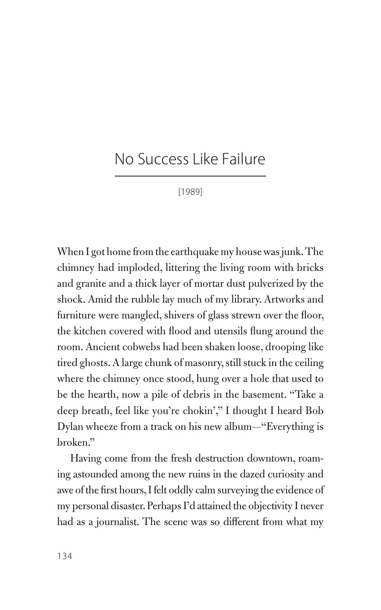## No Success Like Failure

[1989]

When I got home from the earthquake my house was junk. The chimney had imploded, littering the living room with bricks and granite and a thick layer of mortar dust pulverized by the shock. Amid the rubble lay much of my library. Artworks and furniture were mangled, shivers of glass strewn over the floor, the kitchen covered with flood and utensils flung around the room. Ancient cobwebs had been shaken loose, drooping like tired ghosts. A large chunk of masonry, still stuck in the ceiling where the chimney once stood, hung over a hole that used to be the hearth, now a pile of debris in the basement. "Take a deep breath, feel like you're chokin'," I thought I heard Bob Dylan wheeze from a track on his new album—"Everything is broken."

Having come from the fresh destruction downtown, roaming astounded among the new ruins in the dazed curiosity and awe of the first hours, I felt oddly calm surveying the evidence of my personal disaster. Perhaps I'd attained the objectivity I never had as a journalist. The scene was so different from what my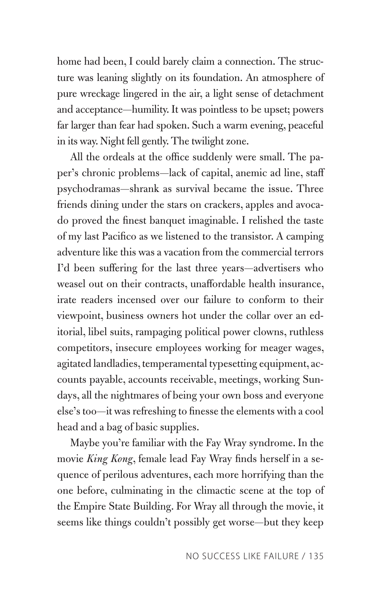home had been, I could barely claim a connection. The structure was leaning slightly on its foundation. An atmosphere of pure wreckage lingered in the air, a light sense of detachment and acceptance—humility. It was pointless to be upset; powers far larger than fear had spoken. Such a warm evening, peaceful in its way. Night fell gently. The twilight zone.

All the ordeals at the office suddenly were small. The paper's chronic problems—lack of capital, anemic ad line, staff psychodramas—shrank as survival became the issue. Three friends dining under the stars on crackers, apples and avocado proved the finest banquet imaginable. I relished the taste of my last Pacifico as we listened to the transistor. A camping adventure like this was a vacation from the commercial terrors I'd been suffering for the last three years—advertisers who weasel out on their contracts, unaffordable health insurance, irate readers incensed over our failure to conform to their viewpoint, business owners hot under the collar over an editorial, libel suits, rampaging political power clowns, ruthless competitors, insecure employees working for meager wages, agitated landladies, temperamental typesetting equipment, accounts payable, accounts receivable, meetings, working Sundays, all the nightmares of being your own boss and everyone else's too—it was refreshing to finesse the elements with a cool head and a bag of basic supplies.

Maybe you're familiar with the Fay Wray syndrome. In the movie *King Kong*, female lead Fay Wray finds herself in a sequence of perilous adventures, each more horrifying than the one before, culminating in the climactic scene at the top of the Empire State Building. For Wray all through the movie, it seems like things couldn't possibly get worse—but they keep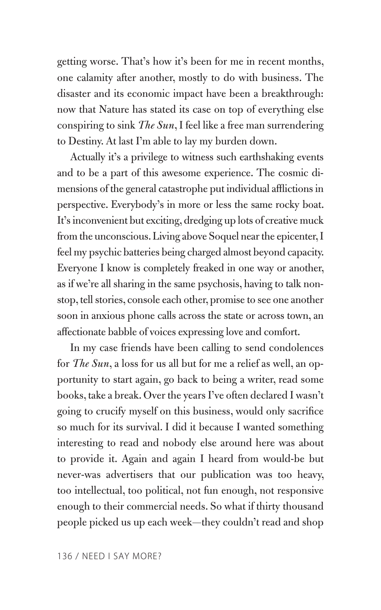getting worse. That's how it's been for me in recent months, one calamity after another, mostly to do with business. The disaster and its economic impact have been a breakthrough: now that Nature has stated its case on top of everything else conspiring to sink *The Sun*, I feel like a free man surrendering to Destiny. At last I'm able to lay my burden down.

Actually it's a privilege to witness such earthshaking events and to be a part of this awesome experience. The cosmic dimensions of the general catastrophe put individual afflictions in perspective. Everybody's in more or less the same rocky boat. It's inconvenient but exciting, dredging up lots of creative muck from the unconscious. Living above Soquel near the epicenter, I feel my psychic batteries being charged almost beyond capacity. Everyone I know is completely freaked in one way or another, as if we're all sharing in the same psychosis, having to talk nonstop, tell stories, console each other, promise to see one another soon in anxious phone calls across the state or across town, an affectionate babble of voices expressing love and comfort.

In my case friends have been calling to send condolences for *The Sun*, a loss for us all but for me a relief as well, an opportunity to start again, go back to being a writer, read some books, take a break. Over the years I've often declared I wasn't going to crucify myself on this business, would only sacrifice so much for its survival. I did it because I wanted something interesting to read and nobody else around here was about to provide it. Again and again I heard from would-be but never-was advertisers that our publication was too heavy, too intellectual, too political, not fun enough, not responsive enough to their commercial needs. So what if thirty thousand people picked us up each week—they couldn't read and shop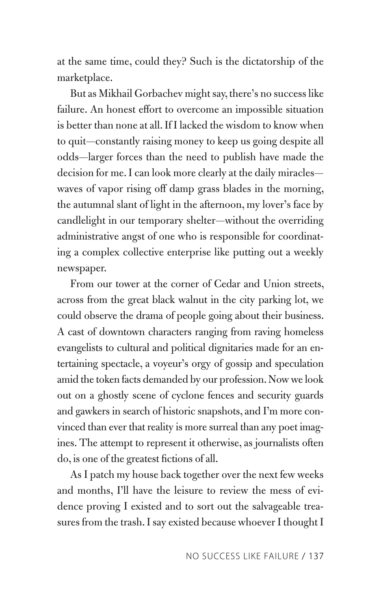at the same time, could they? Such is the dictatorship of the marketplace.

But as Mikhail Gorbachev might say, there's no success like failure. An honest effort to overcome an impossible situation is better than none at all. If I lacked the wisdom to know when to quit—constantly raising money to keep us going despite all odds—larger forces than the need to publish have made the decision for me. I can look more clearly at the daily miracles waves of vapor rising off damp grass blades in the morning, the autumnal slant of light in the afternoon, my lover's face by candlelight in our temporary shelter—without the overriding administrative angst of one who is responsible for coordinating a complex collective enterprise like putting out a weekly newspaper.

From our tower at the corner of Cedar and Union streets, across from the great black walnut in the city parking lot, we could observe the drama of people going about their business. A cast of downtown characters ranging from raving homeless evangelists to cultural and political dignitaries made for an entertaining spectacle, a voyeur's orgy of gossip and speculation amid the token facts demanded by our profession. Now we look out on a ghostly scene of cyclone fences and security guards and gawkers in search of historic snapshots, and I'm more convinced than ever that reality is more surreal than any poet imagines. The attempt to represent it otherwise, as journalists often do, is one of the greatest fictions of all.

As I patch my house back together over the next few weeks and months, I'll have the leisure to review the mess of evidence proving I existed and to sort out the salvageable treasures from the trash. I say existed because whoever I thought I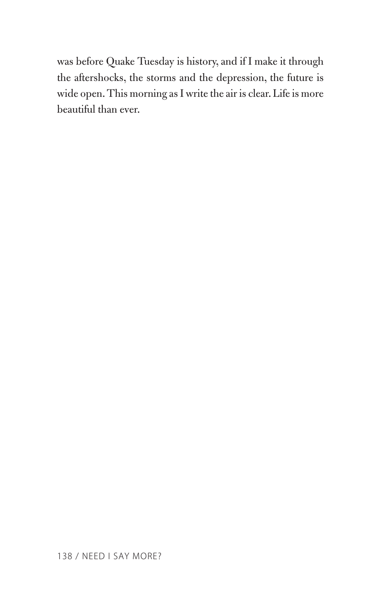was before Quake Tuesday is history, and if I make it through the aftershocks, the storms and the depression, the future is wide open. This morning as I write the air is clear. Life is more beautiful than ever.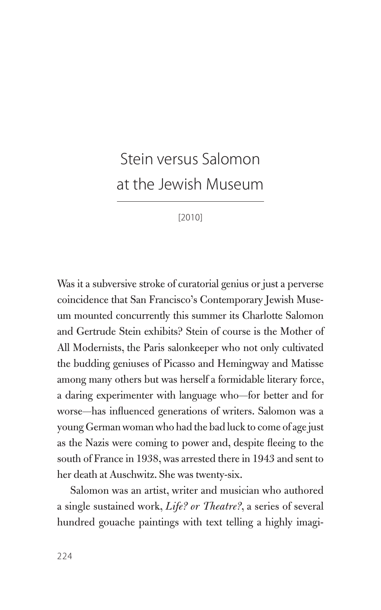## Stein versus Salomon at the Jewish Museum

[2010]

Was it a subversive stroke of curatorial genius or just a perverse coincidence that San Francisco's Contemporary Jewish Museum mounted concurrently this summer its Charlotte Salomon and Gertrude Stein exhibits? Stein of course is the Mother of All Modernists, the Paris salonkeeper who not only cultivated the budding geniuses of Picasso and Hemingway and Matisse among many others but was herself a formidable literary force, a daring experimenter with language who—for better and for worse—has influenced generations of writers. Salomon was a young German woman who had the bad luck to come of age just as the Nazis were coming to power and, despite fleeing to the south of France in 1938, was arrested there in 1943 and sent to her death at Auschwitz. She was twenty-six.

Salomon was an artist, writer and musician who authored a single sustained work, *Life? or Theatre?*, a series of several hundred gouache paintings with text telling a highly imagi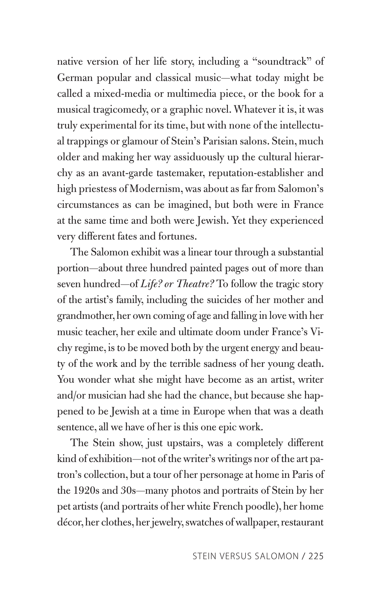native version of her life story, including a "soundtrack" of German popular and classical music—what today might be called a mixed-media or multimedia piece, or the book for a musical tragicomedy, or a graphic novel. Whatever it is, it was truly experimental for its time, but with none of the intellectual trappings or glamour of Stein's Parisian salons. Stein, much older and making her way assiduously up the cultural hierarchy as an avant-garde tastemaker, reputation-establisher and high priestess of Modernism, was about as far from Salomon's circumstances as can be imagined, but both were in France at the same time and both were Jewish. Yet they experienced very different fates and fortunes.

The Salomon exhibit was a linear tour through a substantial portion—about three hundred painted pages out of more than seven hundred—of *Life? or Theatre?* To follow the tragic story of the artist's family, including the suicides of her mother and grandmother, her own coming of age and falling in love with her music teacher, her exile and ultimate doom under France's Vichy regime, is to be moved both by the urgent energy and beauty of the work and by the terrible sadness of her young death. You wonder what she might have become as an artist, writer and/or musician had she had the chance, but because she happened to be Jewish at a time in Europe when that was a death sentence, all we have of her is this one epic work.

The Stein show, just upstairs, was a completely different kind of exhibition—not of the writer's writings nor of the art patron's collection, but a tour of her personage at home in Paris of the 1920s and 30s—many photos and portraits of Stein by her pet artists (and portraits of her white French poodle), her home décor, her clothes, her jewelry, swatches of wallpaper, restaurant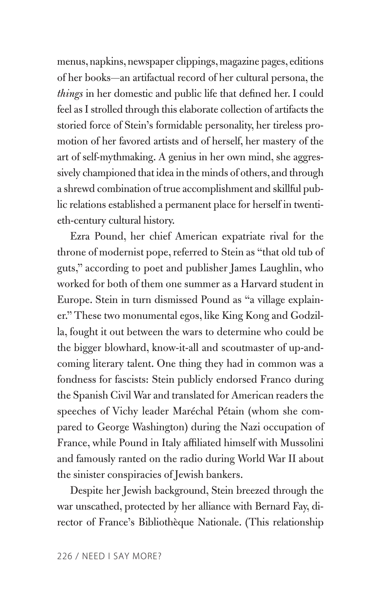menus, napkins, newspaper clippings, magazine pages, editions of her books—an artifactual record of her cultural persona, the *things* in her domestic and public life that defined her. I could feel as I strolled through this elaborate collection of artifacts the storied force of Stein's formidable personality, her tireless promotion of her favored artists and of herself, her mastery of the art of self-mythmaking. A genius in her own mind, she aggressively championed that idea in the minds of others, and through a shrewd combination of true accomplishment and skillful public relations established a permanent place for herself in twentieth-century cultural history.

Ezra Pound, her chief American expatriate rival for the throne of modernist pope, referred to Stein as "that old tub of guts," according to poet and publisher James Laughlin, who worked for both of them one summer as a Harvard student in Europe. Stein in turn dismissed Pound as "a village explainer." These two monumental egos, like King Kong and Godzilla, fought it out between the wars to determine who could be the bigger blowhard, know-it-all and scoutmaster of up-andcoming literary talent. One thing they had in common was a fondness for fascists: Stein publicly endorsed Franco during the Spanish Civil War and translated for American readers the speeches of Vichy leader Maréchal Pétain (whom she compared to George Washington) during the Nazi occupation of France, while Pound in Italy affiliated himself with Mussolini and famously ranted on the radio during World War II about the sinister conspiracies of Jewish bankers.

Despite her Jewish background, Stein breezed through the war unscathed, protected by her alliance with Bernard Fay, director of France's Bibliothèque Nationale. (This relationship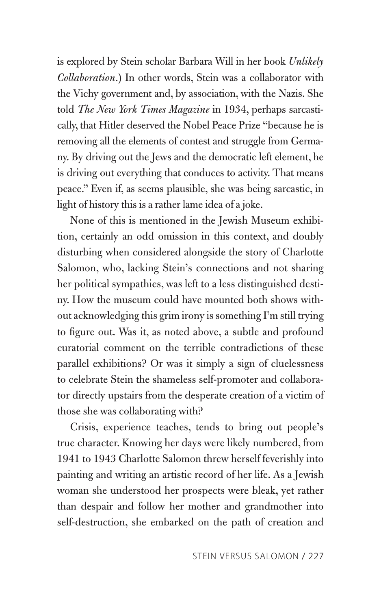is explored by Stein scholar Barbara Will in her book *Unlikely Collaboration*.) In other words, Stein was a collaborator with the Vichy government and, by association, with the Nazis. She told *The New York Times Magazine* in 1934, perhaps sarcastically, that Hitler deserved the Nobel Peace Prize "because he is removing all the elements of contest and struggle from Germany. By driving out the Jews and the democratic left element, he is driving out everything that conduces to activity. That means peace." Even if, as seems plausible, she was being sarcastic, in light of history this is a rather lame idea of a joke.

None of this is mentioned in the Jewish Museum exhibition, certainly an odd omission in this context, and doubly disturbing when considered alongside the story of Charlotte Salomon, who, lacking Stein's connections and not sharing her political sympathies, was left to a less distinguished destiny. How the museum could have mounted both shows without acknowledging this grim irony is something I'm still trying to figure out. Was it, as noted above, a subtle and profound curatorial comment on the terrible contradictions of these parallel exhibitions? Or was it simply a sign of cluelessness to celebrate Stein the shameless self-promoter and collaborator directly upstairs from the desperate creation of a victim of those she was collaborating with?

Crisis, experience teaches, tends to bring out people's true character. Knowing her days were likely numbered, from 1941 to 1943 Charlotte Salomon threw herself feverishly into painting and writing an artistic record of her life. As a Jewish woman she understood her prospects were bleak, yet rather than despair and follow her mother and grandmother into self-destruction, she embarked on the path of creation and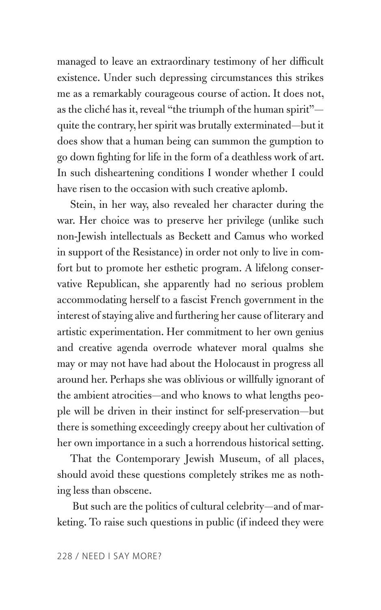managed to leave an extraordinary testimony of her difficult existence. Under such depressing circumstances this strikes me as a remarkably courageous course of action. It does not, as the cliché has it, reveal "the triumph of the human spirit" quite the contrary, her spirit was brutally exterminated—but it does show that a human being can summon the gumption to go down fighting for life in the form of a deathless work of art. In such disheartening conditions I wonder whether I could have risen to the occasion with such creative aplomb.

Stein, in her way, also revealed her character during the war. Her choice was to preserve her privilege (unlike such non-Jewish intellectuals as Beckett and Camus who worked in support of the Resistance) in order not only to live in comfort but to promote her esthetic program. A lifelong conservative Republican, she apparently had no serious problem accommodating herself to a fascist French government in the interest of staying alive and furthering her cause of literary and artistic experimentation. Her commitment to her own genius and creative agenda overrode whatever moral qualms she may or may not have had about the Holocaust in progress all around her. Perhaps she was oblivious or willfully ignorant of the ambient atrocities—and who knows to what lengths people will be driven in their instinct for self-preservation—but there is something exceedingly creepy about her cultivation of her own importance in a such a horrendous historical setting.

That the Contemporary Jewish Museum, of all places, should avoid these questions completely strikes me as nothing less than obscene.

 But such are the politics of cultural celebrity—and of marketing. To raise such questions in public (if indeed they were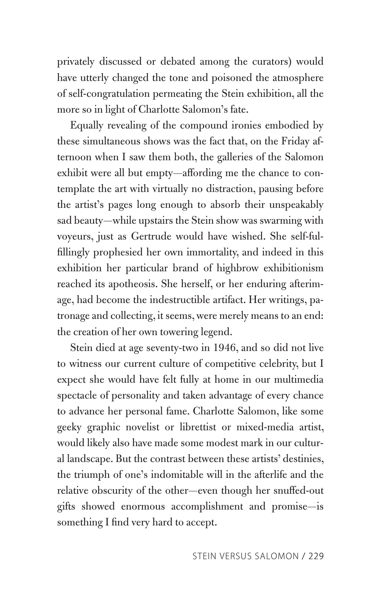privately discussed or debated among the curators) would have utterly changed the tone and poisoned the atmosphere of self-congratulation permeating the Stein exhibition, all the more so in light of Charlotte Salomon's fate.

Equally revealing of the compound ironies embodied by these simultaneous shows was the fact that, on the Friday afternoon when I saw them both, the galleries of the Salomon exhibit were all but empty—affording me the chance to contemplate the art with virtually no distraction, pausing before the artist's pages long enough to absorb their unspeakably sad beauty—while upstairs the Stein show was swarming with voyeurs, just as Gertrude would have wished. She self-fulfillingly prophesied her own immortality, and indeed in this exhibition her particular brand of highbrow exhibitionism reached its apotheosis. She herself, or her enduring afterimage, had become the indestructible artifact. Her writings, patronage and collecting, it seems, were merely means to an end: the creation of her own towering legend.

Stein died at age seventy-two in 1946, and so did not live to witness our current culture of competitive celebrity, but I expect she would have felt fully at home in our multimedia spectacle of personality and taken advantage of every chance to advance her personal fame. Charlotte Salomon, like some geeky graphic novelist or librettist or mixed-media artist, would likely also have made some modest mark in our cultural landscape. But the contrast between these artists' destinies, the triumph of one's indomitable will in the afterlife and the relative obscurity of the other—even though her snuffed-out gifts showed enormous accomplishment and promise—is something I find very hard to accept.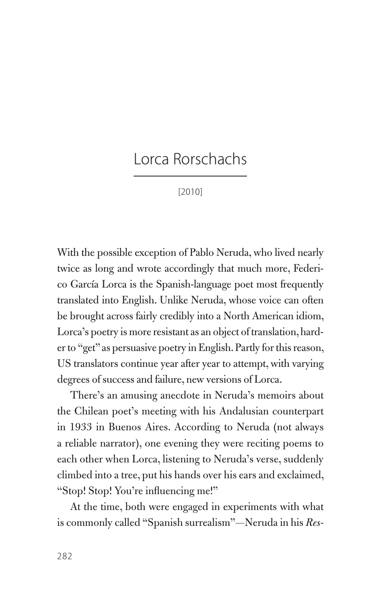## Lorca Rorschachs

[2010]

With the possible exception of Pablo Neruda, who lived nearly twice as long and wrote accordingly that much more, Federico García Lorca is the Spanish-language poet most frequently translated into English. Unlike Neruda, whose voice can often be brought across fairly credibly into a North American idiom, Lorca's poetry is more resistant as an object of translation, harder to "get" as persuasive poetry in English. Partly for this reason, US translators continue year after year to attempt, with varying degrees of success and failure, new versions of Lorca.

There's an amusing anecdote in Neruda's memoirs about the Chilean poet's meeting with his Andalusian counterpart in 1933 in Buenos Aires. According to Neruda (not always a reliable narrator), one evening they were reciting poems to each other when Lorca, listening to Neruda's verse, suddenly climbed into a tree, put his hands over his ears and exclaimed, "Stop! Stop! You're influencing me!"

At the time, both were engaged in experiments with what is commonly called "Spanish surrealism"—Neruda in his *Res-*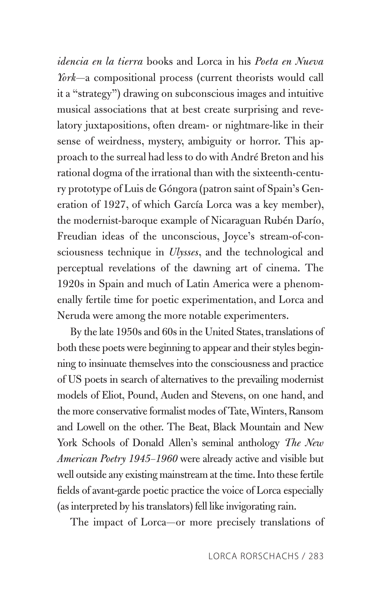*idencia en la tierra* books and Lorca in his *Poeta en Nueva York*—a compositional process (current theorists would call it a "strategy") drawing on subconscious images and intuitive musical associations that at best create surprising and revelatory juxtapositions, often dream- or nightmare-like in their sense of weirdness, mystery, ambiguity or horror. This approach to the surreal had less to do with André Breton and his rational dogma of the irrational than with the sixteenth-century prototype of Luis de Góngora (patron saint of Spain's Generation of 1927, of which García Lorca was a key member), the modernist-baroque example of Nicaraguan Rubén Darío, Freudian ideas of the unconscious, Joyce's stream-of-consciousness technique in *Ulysses*, and the technological and perceptual revelations of the dawning art of cinema. The 1920s in Spain and much of Latin America were a phenomenally fertile time for poetic experimentation, and Lorca and Neruda were among the more notable experimenters.

By the late 1950s and 60s in the United States, translations of both these poets were beginning to appear and their styles beginning to insinuate themselves into the consciousness and practice of US poets in search of alternatives to the prevailing modernist models of Eliot, Pound, Auden and Stevens, on one hand, and the more conservative formalist modes of Tate, Winters, Ransom and Lowell on the other. The Beat, Black Mountain and New York Schools of Donald Allen's seminal anthology *The New American Poetry 1945–1960* were already active and visible but well outside any existing mainstream at the time. Into these fertile fields of avant-garde poetic practice the voice of Lorca especially (as interpreted by his translators) fell like invigorating rain.

The impact of Lorca—or more precisely translations of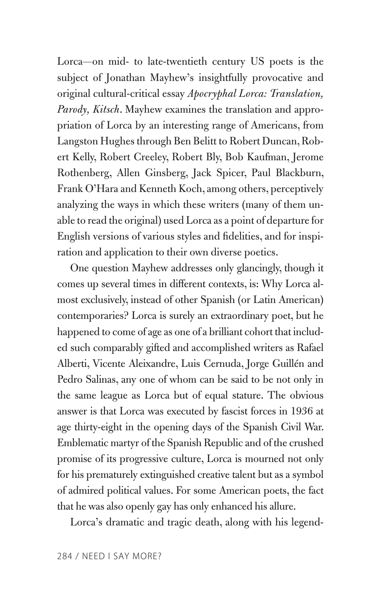Lorca—on mid- to late-twentieth century US poets is the subject of Jonathan Mayhew's insightfully provocative and original cultural-critical essay *Apocryphal Lorca: Translation, Parody, Kitsch*. Mayhew examines the translation and appropriation of Lorca by an interesting range of Americans, from Langston Hughes through Ben Belitt to Robert Duncan, Robert Kelly, Robert Creeley, Robert Bly, Bob Kaufman, Jerome Rothenberg, Allen Ginsberg, Jack Spicer, Paul Blackburn, Frank O'Hara and Kenneth Koch, among others, perceptively analyzing the ways in which these writers (many of them unable to read the original) used Lorca as a point of departure for English versions of various styles and fidelities, and for inspiration and application to their own diverse poetics.

One question Mayhew addresses only glancingly, though it comes up several times in different contexts, is: Why Lorca almost exclusively, instead of other Spanish (or Latin American) contemporaries? Lorca is surely an extraordinary poet, but he happened to come of age as one of a brilliant cohort that included such comparably gifted and accomplished writers as Rafael Alberti, Vicente Aleixandre, Luis Cernuda, Jorge Guillén and Pedro Salinas, any one of whom can be said to be not only in the same league as Lorca but of equal stature. The obvious answer is that Lorca was executed by fascist forces in 1936 at age thirty-eight in the opening days of the Spanish Civil War. Emblematic martyr of the Spanish Republic and of the crushed promise of its progressive culture, Lorca is mourned not only for his prematurely extinguished creative talent but as a symbol of admired political values. For some American poets, the fact that he was also openly gay has only enhanced his allure.

Lorca's dramatic and tragic death, along with his legend-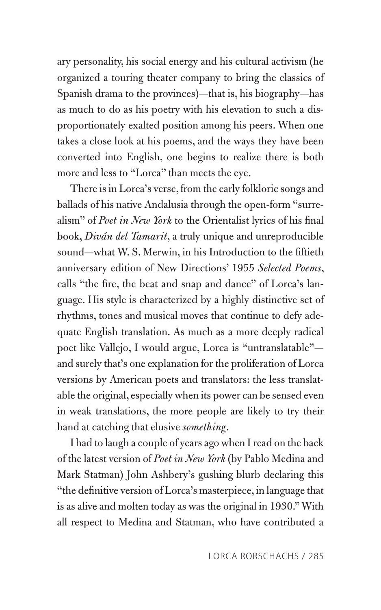ary personality, his social energy and his cultural activism (he organized a touring theater company to bring the classics of Spanish drama to the provinces)—that is, his biography—has as much to do as his poetry with his elevation to such a disproportionately exalted position among his peers. When one takes a close look at his poems, and the ways they have been converted into English, one begins to realize there is both more and less to "Lorca" than meets the eye.

There is in Lorca's verse, from the early folkloric songs and ballads of his native Andalusia through the open-form "surrealism" of *Poet in New York* to the Orientalist lyrics of his final book, *Diván del Tamarit*, a truly unique and unreproducible sound—what W. S. Merwin, in his Introduction to the fiftieth anniversary edition of New Directions' 1955 *Selected Poems*, calls "the fire, the beat and snap and dance" of Lorca's language. His style is characterized by a highly distinctive set of rhythms, tones and musical moves that continue to defy adequate English translation. As much as a more deeply radical poet like Vallejo, I would argue, Lorca is "untranslatable" and surely that's one explanation for the proliferation of Lorca versions by American poets and translators: the less translatable the original, especially when its power can be sensed even in weak translations, the more people are likely to try their hand at catching that elusive *something*.

I had to laugh a couple of years ago when I read on the back of the latest version of *Poet in New York* (by Pablo Medina and Mark Statman) John Ashbery's gushing blurb declaring this "the definitive version of Lorca's masterpiece, in language that is as alive and molten today as was the original in 1930." With all respect to Medina and Statman, who have contributed a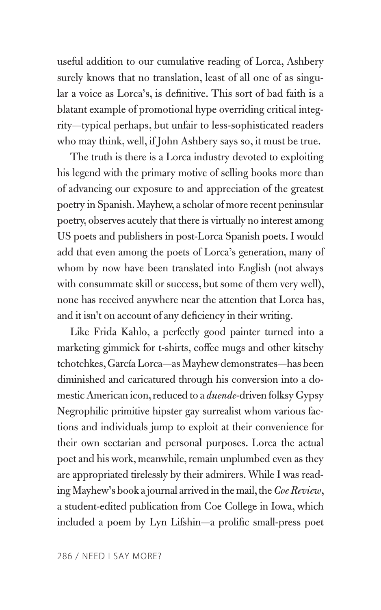useful addition to our cumulative reading of Lorca, Ashbery surely knows that no translation, least of all one of as singular a voice as Lorca's, is definitive. This sort of bad faith is a blatant example of promotional hype overriding critical integrity—typical perhaps, but unfair to less-sophisticated readers who may think, well, if John Ashbery says so, it must be true.

The truth is there is a Lorca industry devoted to exploiting his legend with the primary motive of selling books more than of advancing our exposure to and appreciation of the greatest poetry in Spanish. Mayhew, a scholar of more recent peninsular poetry, observes acutely that there is virtually no interest among US poets and publishers in post-Lorca Spanish poets. I would add that even among the poets of Lorca's generation, many of whom by now have been translated into English (not always with consummate skill or success, but some of them very well), none has received anywhere near the attention that Lorca has, and it isn't on account of any deficiency in their writing.

Like Frida Kahlo, a perfectly good painter turned into a marketing gimmick for t-shirts, coffee mugs and other kitschy tchotchkes, García Lorca—as Mayhew demonstrates—has been diminished and caricatured through his conversion into a domestic American icon, reduced to a *duende*-driven folksy Gypsy Negrophilic primitive hipster gay surrealist whom various factions and individuals jump to exploit at their convenience for their own sectarian and personal purposes. Lorca the actual poet and his work, meanwhile, remain unplumbed even as they are appropriated tirelessly by their admirers. While I was reading Mayhew's book a journal arrived in the mail, the *Coe Review*, a student-edited publication from Coe College in Iowa, which included a poem by Lyn Lifshin—a prolific small-press poet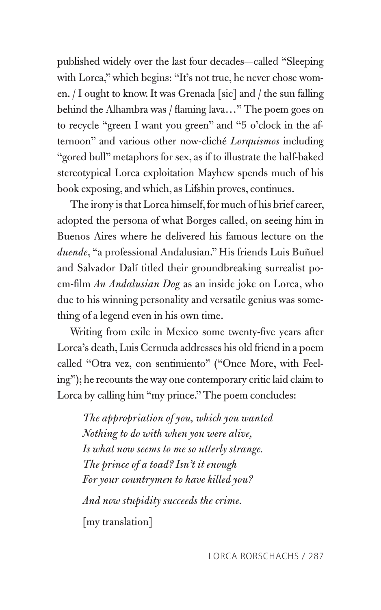published widely over the last four decades—called "Sleeping with Lorca," which begins: "It's not true, he never chose women. / I ought to know. It was Grenada [sic] and / the sun falling behind the Alhambra was / flaming lava…" The poem goes on to recycle "green I want you green" and "5 o'clock in the afternoon" and various other now-cliché *Lorquismos* including "gored bull" metaphors for sex, as if to illustrate the half-baked stereotypical Lorca exploitation Mayhew spends much of his book exposing, and which, as Lifshin proves, continues.

The irony is that Lorca himself, for much of his brief career, adopted the persona of what Borges called, on seeing him in Buenos Aires where he delivered his famous lecture on the *duende*, "a professional Andalusian." His friends Luis Buñuel and Salvador Dalí titled their groundbreaking surrealist poem-film *An Andalusian Dog* as an inside joke on Lorca, who due to his winning personality and versatile genius was something of a legend even in his own time.

Writing from exile in Mexico some twenty-five years after Lorca's death, Luis Cernuda addresses his old friend in a poem called "Otra vez, con sentimiento" ("Once More, with Feeling"); he recounts the way one contemporary critic laid claim to Lorca by calling him "my prince." The poem concludes:

*The appropriation of you, which you wanted Nothing to do with when you were alive, Is what now seems to me so utterly strange. The prince of a toad? Isn't it enough For your countrymen to have killed you? And now stupidity succeeds the crime.* [my translation]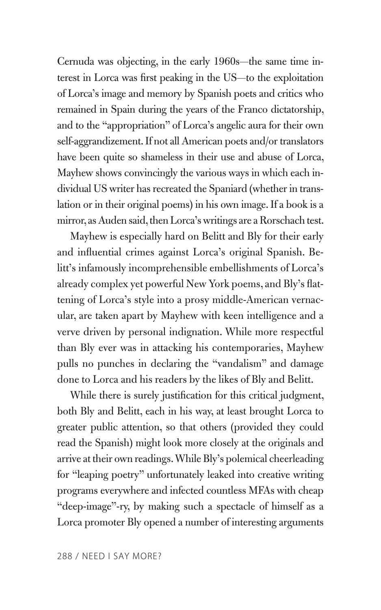Cernuda was objecting, in the early 1960s—the same time interest in Lorca was first peaking in the US—to the exploitation of Lorca's image and memory by Spanish poets and critics who remained in Spain during the years of the Franco dictatorship, and to the "appropriation" of Lorca's angelic aura for their own self-aggrandizement. If not all American poets and/or translators have been quite so shameless in their use and abuse of Lorca, Mayhew shows convincingly the various ways in which each individual US writer has recreated the Spaniard (whether in translation or in their original poems) in his own image. If a book is a mirror, as Auden said, then Lorca's writings are a Rorschach test.

Mayhew is especially hard on Belitt and Bly for their early and influential crimes against Lorca's original Spanish. Belitt's infamously incomprehensible embellishments of Lorca's already complex yet powerful New York poems, and Bly's flattening of Lorca's style into a prosy middle-American vernacular, are taken apart by Mayhew with keen intelligence and a verve driven by personal indignation. While more respectful than Bly ever was in attacking his contemporaries, Mayhew pulls no punches in declaring the "vandalism" and damage done to Lorca and his readers by the likes of Bly and Belitt.

While there is surely justification for this critical judgment, both Bly and Belitt, each in his way, at least brought Lorca to greater public attention, so that others (provided they could read the Spanish) might look more closely at the originals and arrive at their own readings. While Bly's polemical cheerleading for "leaping poetry" unfortunately leaked into creative writing programs everywhere and infected countless MFAs with cheap "deep-image"-ry, by making such a spectacle of himself as a Lorca promoter Bly opened a number of interesting arguments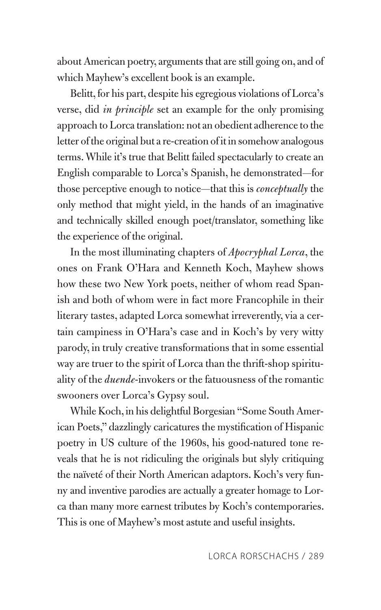about American poetry, arguments that are still going on, and of which Mayhew's excellent book is an example.

Belitt, for his part, despite his egregious violations of Lorca's verse, did *in principle* set an example for the only promising approach to Lorca translation: not an obedient adherence to the letter of the original but a re-creation of it in somehow analogous terms. While it's true that Belitt failed spectacularly to create an English comparable to Lorca's Spanish, he demonstrated—for those perceptive enough to notice—that this is *conceptually* the only method that might yield, in the hands of an imaginative and technically skilled enough poet/translator, something like the experience of the original.

In the most illuminating chapters of *Apocryphal Lorca*, the ones on Frank O'Hara and Kenneth Koch, Mayhew shows how these two New York poets, neither of whom read Spanish and both of whom were in fact more Francophile in their literary tastes, adapted Lorca somewhat irreverently, via a certain campiness in O'Hara's case and in Koch's by very witty parody, in truly creative transformations that in some essential way are truer to the spirit of Lorca than the thrift-shop spirituality of the *duende*-invokers or the fatuousness of the romantic swooners over Lorca's Gypsy soul.

While Koch, in his delightful Borgesian "Some South American Poets," dazzlingly caricatures the mystification of Hispanic poetry in US culture of the 1960s, his good-natured tone reveals that he is not ridiculing the originals but slyly critiquing the naïveté of their North American adaptors. Koch's very funny and inventive parodies are actually a greater homage to Lorca than many more earnest tributes by Koch's contemporaries. This is one of Mayhew's most astute and useful insights.